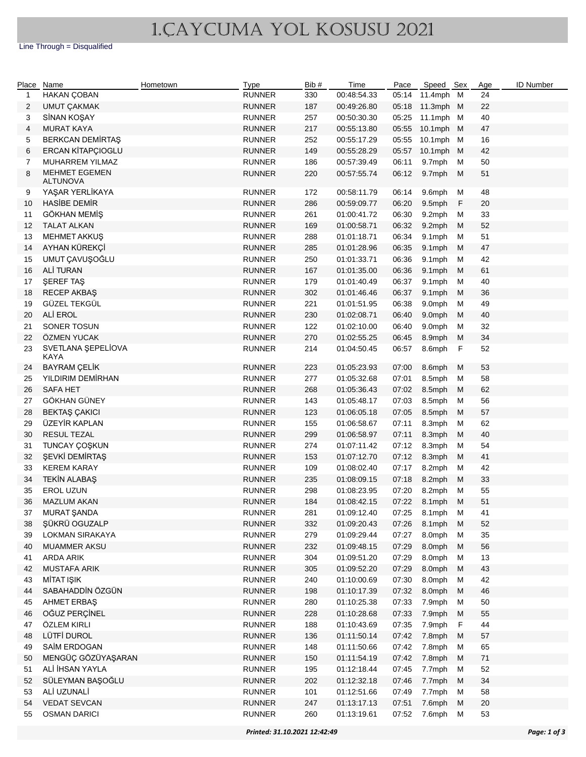## 1.CAYCUMA YOL KOSUSU 2021

Line Through = Disqualified

| Place Name   |                                   | Hometown | Type                    | Bib # | Time        | Pace  | Speed Sex |              | Age    | <b>ID Number</b> |
|--------------|-----------------------------------|----------|-------------------------|-------|-------------|-------|-----------|--------------|--------|------------------|
| $\mathbf{1}$ | HAKAN ÇOBAN                       |          | <b>RUNNER</b>           | 330   | 00:48:54.33 | 05:14 | 11.4mph M |              | 24     |                  |
| 2            | <b>UMUT ÇAKMAK</b>                |          | <b>RUNNER</b>           | 187   | 00:49:26.80 | 05:18 | 11.3mph M |              | 22     |                  |
| 3            | SİNAN KOŞAY                       |          | <b>RUNNER</b>           | 257   | 00:50:30.30 | 05:25 | 11.1mph M |              | 40     |                  |
| 4            | <b>MURAT KAYA</b>                 |          | <b>RUNNER</b>           | 217   | 00:55:13.80 | 05:55 | 10.1mph M |              | 47     |                  |
| 5            | <b>BERKCAN DEMIRTAŞ</b>           |          | <b>RUNNER</b>           | 252   | 00:55:17.29 | 05:55 | 10.1mph M |              | 16     |                  |
| 6            | ERCAN KİTAPÇIOGLU                 |          | <b>RUNNER</b>           | 149   | 00:55:28.29 | 05:57 | 10.1mph M |              | 42     |                  |
| 7            | MUHARREM YILMAZ                   |          | <b>RUNNER</b>           | 186   | 00:57:39.49 | 06:11 | 9.7mph    | м            | 50     |                  |
| 8            | <b>MEHMET EGEMEN</b>              |          | <b>RUNNER</b>           | 220   | 00:57:55.74 | 06:12 | 9.7mph    | M            | 51     |                  |
|              | <b>ALTUNOVA</b>                   |          |                         |       |             |       |           |              |        |                  |
| 9            | YAŞAR YERLİKAYA                   |          | <b>RUNNER</b>           | 172   | 00:58:11.79 | 06:14 | 9.6mph    | м            | 48     |                  |
| 10           | <b>HASIBE DEMIR</b>               |          | <b>RUNNER</b>           | 286   | 00:59:09.77 | 06:20 | 9.5mph    | $\mathsf F$  | $20\,$ |                  |
| 11           | GÖKHAN MEMİŞ                      |          | <b>RUNNER</b>           | 261   | 01:00:41.72 | 06:30 | 9.2mph    | м            | 33     |                  |
| 12           | <b>TALAT ALKAN</b>                |          | <b>RUNNER</b>           | 169   | 01:00:58.71 | 06:32 | 9.2mph    | М            | 52     |                  |
| 13           | <b>MEHMET AKKUŞ</b>               |          | <b>RUNNER</b>           | 288   | 01:01:18.71 | 06:34 | 9.1mph    | м            | 51     |                  |
| 14           | AYHAN KÜREKÇİ                     |          | <b>RUNNER</b>           | 285   | 01:01:28.96 | 06:35 | 9.1mph    | M            | 47     |                  |
| 15           | UMUT ÇAVUŞOĞLU                    |          | <b>RUNNER</b>           | 250   | 01:01:33.71 | 06:36 | 9.1mph    | M            | 42     |                  |
| 16           | ALİ TURAN                         |          | <b>RUNNER</b>           | 167   | 01:01:35.00 | 06:36 | 9.1mph    | M            | 61     |                  |
| 17           | ŞEREF TAŞ                         |          | <b>RUNNER</b>           | 179   |             | 06:37 |           | M            | 40     |                  |
|              |                                   |          |                         |       | 01:01:40.49 |       | 9.1mph    |              |        |                  |
| 18           | <b>RECEP AKBAŞ</b>                |          | <b>RUNNER</b>           | 302   | 01:01:46.46 | 06:37 | 9.1mph    | M            | $36\,$ |                  |
| 19           | GÜZEL TEKGÜL                      |          | <b>RUNNER</b>           | 221   | 01:01:51.95 | 06:38 | 9.0mph    | M            | 49     |                  |
| 20           | ALİ EROL                          |          | <b>RUNNER</b>           | 230   | 01:02:08.71 | 06:40 | 9.0mph    | M            | 40     |                  |
| 21           | SONER TOSUN                       |          | <b>RUNNER</b>           | 122   | 01:02:10.00 | 06:40 | 9.0mph    | M            | 32     |                  |
| 22           | ÖZMEN YUCAK                       |          | <b>RUNNER</b>           | 270   | 01:02:55.25 | 06:45 | 8.9mph    | M            | 34     |                  |
| 23           | SVETLANA ŞEPELİOVA<br><b>KAYA</b> |          | <b>RUNNER</b>           | 214   | 01:04:50.45 | 06:57 | 8.6mph    | $\mathsf{F}$ | 52     |                  |
| 24           | <b>BAYRAM ÇELİK</b>               |          | <b>RUNNER</b>           | 223   | 01:05:23.93 | 07:00 | 8.6mph    | M            | 53     |                  |
| 25           | YILDIRIM DEMİRHAN                 |          | <b>RUNNER</b>           | 277   | 01:05:32.68 | 07:01 | 8.5mph    | М            | 58     |                  |
| 26           | <b>SAFA HET</b>                   |          | <b>RUNNER</b>           | 268   | 01:05:36.43 | 07:02 | 8.5mph    | M            | 62     |                  |
| 27           | GÖKHAN GÜNEY                      |          | <b>RUNNER</b>           | 143   | 01:05:48.17 | 07:03 | 8.5mph    | M            | 56     |                  |
| 28           | BEKTAŞ ÇAKICI                     |          | <b>RUNNER</b>           | 123   | 01:06:05.18 | 07:05 | 8.5mph    | M            | 57     |                  |
| 29           | ÜZEYİR KAPLAN                     |          | <b>RUNNER</b>           | 155   | 01:06:58.67 | 07:11 | 8.3mph    | M            | 62     |                  |
| 30           | <b>RESUL TEZAL</b>                |          | <b>RUNNER</b>           | 299   | 01:06:58.97 | 07:11 | 8.3mph    | M            | 40     |                  |
| 31           | TUNCAY ÇOŞKUN                     |          | <b>RUNNER</b>           | 274   | 01:07:11.42 | 07:12 | 8.3mph    | M            | 54     |                  |
| 32           | ŞEVKİ DEMİRTAŞ                    |          | <b>RUNNER</b>           | 153   | 01:07:12.70 | 07:12 | 8.3mph    | M            | 41     |                  |
| 33           | <b>KEREM KARAY</b>                |          | <b>RUNNER</b>           | 109   | 01:08:02.40 | 07:17 | 8.2mph    | M            | 42     |                  |
| 34           | TEKİN ALABAŞ                      |          | <b>RUNNER</b>           | 235   | 01:08:09.15 | 07:18 | 8.2mph    | M            | 33     |                  |
| 35           | EROL UZUN                         |          | <b>RUNNER</b>           | 298   | 01:08:23.95 | 07:20 | 8.2mph    | м            | 55     |                  |
| 36           | <b>MAZLUM AKAN</b>                |          | <b>RUNNER</b>           | 184   | 01:08:42.15 | 07:22 | 8.1mph    | M            | 51     |                  |
| 37           | MURAT ŞANDA                       |          | RUNNER                  | 281   | 01:09:12.40 | 07:25 | 8.1mph    | M            | 41     |                  |
|              | ŞÜKRÜ OGUZALP                     |          |                         |       |             | 07:26 |           | M            |        |                  |
| 38           | LOKMAN SIRAKAYA                   |          | RUNNER<br><b>RUNNER</b> | 332   | 01:09:20.43 |       | 8.1mph    | M            | 52     |                  |
| 39           |                                   |          |                         | 279   | 01:09:29.44 | 07:27 | 8.0mph    |              | 35     |                  |
| 40           | <b>MUAMMER AKSU</b>               |          | <b>RUNNER</b>           | 232   | 01:09:48.15 | 07:29 | 8.0mph    | M            | 56     |                  |
| 41           | ARDA ARIK                         |          | <b>RUNNER</b>           | 304   | 01:09:51.20 | 07:29 | 8.0mph    | M            | 13     |                  |
| 42           | <b>MUSTAFA ARIK</b>               |          | RUNNER                  | 305   | 01:09:52.20 | 07:29 | 8.0mph    | M            | 43     |                  |
| 43           | MİTAT IŞIK                        |          | <b>RUNNER</b>           | 240   | 01:10:00.69 | 07:30 | 8.0mph    | M            | 42     |                  |
| 44           | SABAHADDİN ÖZGÜN                  |          | <b>RUNNER</b>           | 198   | 01:10:17.39 | 07:32 | 8.0mph    | M            | 46     |                  |
| 45           | AHMET ERBAŞ                       |          | <b>RUNNER</b>           | 280   | 01:10:25.38 | 07:33 | 7.9mph    | M            | 50     |                  |
| 46           | OĞUZ PERÇİNEL                     |          | <b>RUNNER</b>           | 228   | 01:10:28.68 | 07:33 | 7.9mph    | M            | 55     |                  |
| 47           | ÖZLEM KIRLI                       |          | <b>RUNNER</b>           | 188   | 01:10:43.69 | 07:35 | 7.9mph    | $\mathsf F$  | 44     |                  |
| 48           | LÜTFİ DUROL                       |          | <b>RUNNER</b>           | 136   | 01:11:50.14 | 07:42 | 7.8mph    | M            | 57     |                  |
| 49           | SAİM ERDOGAN                      |          | <b>RUNNER</b>           | 148   | 01:11:50.66 | 07:42 | 7.8mph    | м            | 65     |                  |
| 50           | MENGÜÇ GÖZÜYAŞARAN                |          | <b>RUNNER</b>           | 150   | 01:11:54.19 | 07:42 | 7.8mph    | M            | 71     |                  |
| 51           | ALİ İHSAN YAYLA                   |          | <b>RUNNER</b>           | 195   | 01:12:18.44 | 07:45 | 7.7mph    | М            | 52     |                  |
| 52           | SÜLEYMAN BAŞOĞLU                  |          | RUNNER                  | 202   | 01:12:32.18 | 07:46 | 7.7mph    | M            | 34     |                  |
| 53           | ALİ UZUNALİ                       |          | <b>RUNNER</b>           | 101   | 01:12:51.66 | 07:49 | 7.7mph    | м            | 58     |                  |
| 54           | <b>VEDAT SEVCAN</b>               |          | <b>RUNNER</b>           | 247   | 01:13:17.13 | 07:51 | 7.6mph    | M            | $20\,$ |                  |
| 55           | <b>OSMAN DARICI</b>               |          | <b>RUNNER</b>           | 260   | 01:13:19.61 | 07:52 | 7.6mph    | M            | 53     |                  |
|              |                                   |          |                         |       |             |       |           |              |        |                  |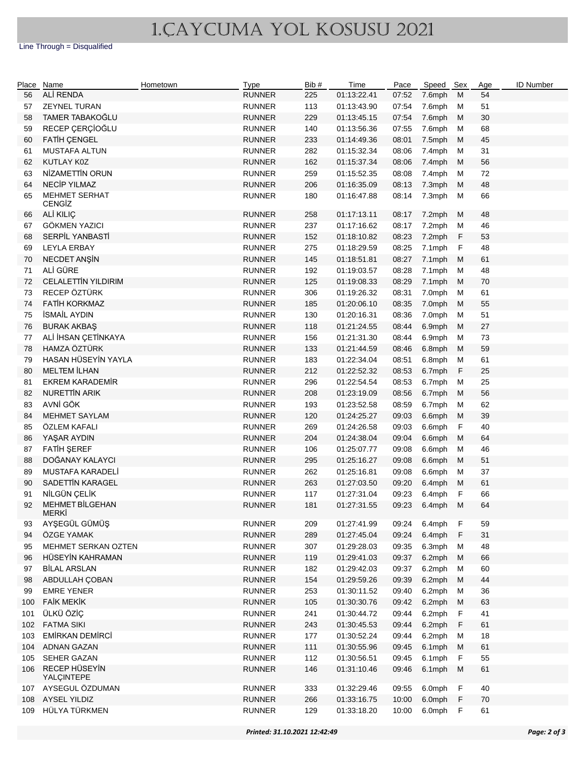## 1.CAYCUMA YOL KOSUSU 2021

Line Through = Disqualified

| Place | Name                            | Hometown | <b>Type</b>   | Bib# | Time        | Pace  | Speed Sex |             | Age | <b>ID Number</b> |
|-------|---------------------------------|----------|---------------|------|-------------|-------|-----------|-------------|-----|------------------|
| 56    | ALİ RENDA                       |          | <b>RUNNER</b> | 225  | 01:13:22.41 | 07:52 | 7.6mph    | M           | 54  |                  |
| 57    | <b>ZEYNEL TURAN</b>             |          | <b>RUNNER</b> | 113  | 01:13:43.90 | 07:54 | 7.6mph    | м           | 51  |                  |
| 58    | TAMER TABAKOĞLU                 |          | <b>RUNNER</b> | 229  | 01:13:45.15 | 07:54 | 7.6mph    | M           | 30  |                  |
| 59    | RECEP ÇERÇİOĞLU                 |          | <b>RUNNER</b> | 140  | 01:13:56.36 | 07:55 | 7.6mph    | м           | 68  |                  |
| 60    | <b>FATIH CENGEL</b>             |          | <b>RUNNER</b> | 233  | 01:14:49.36 | 08:01 | 7.5mph    | M           | 45  |                  |
| 61    | <b>MUSTAFA ALTUN</b>            |          | <b>RUNNER</b> | 282  | 01:15:32.34 | 08:06 | 7.4mph    | M           | 31  |                  |
| 62    | KUTLAY K0Z                      |          | <b>RUNNER</b> | 162  | 01:15:37.34 | 08:06 | 7.4mph    | M           | 56  |                  |
| 63    | NİZAMETTİN ORUN                 |          | <b>RUNNER</b> | 259  | 01:15:52.35 | 08:08 | 7.4mph    | M           | 72  |                  |
| 64    | <b>NECİP YILMAZ</b>             |          | <b>RUNNER</b> | 206  | 01:16:35.09 | 08:13 | 7.3mph    | M           | 48  |                  |
| 65    | <b>MEHMET SERHAT</b>            |          | <b>RUNNER</b> | 180  | 01:16:47.88 | 08:14 | 7.3mph    | M           | 66  |                  |
|       | CENGIZ                          |          |               |      |             |       |           |             |     |                  |
| 66    | ALİ KILIÇ                       |          | <b>RUNNER</b> | 258  | 01:17:13.11 | 08:17 | 7.2mph    | М           | 48  |                  |
| 67    | GÖKMEN YAZICI                   |          | <b>RUNNER</b> | 237  | 01:17:16.62 | 08:17 | 7.2mph    | M           | 46  |                  |
| 68    | SERPİL YANBASTİ                 |          | <b>RUNNER</b> | 152  | 01:18:10.82 | 08:23 | 7.2mph    | F           | 53  |                  |
| 69    | <b>LEYLA ERBAY</b>              |          | <b>RUNNER</b> | 275  | 01:18:29.59 | 08:25 | 7.1mph    | $\mathsf F$ | 48  |                  |
| 70    | NECDET ANŞİN                    |          | <b>RUNNER</b> | 145  | 01:18:51.81 | 08:27 | 7.1mph    | M           | 61  |                  |
| 71    | ALİ GÜRE                        |          | <b>RUNNER</b> | 192  | 01:19:03.57 | 08:28 | 7.1mph    | M           | 48  |                  |
| 72    | <b>CELALETTIN YILDIRIM</b>      |          | <b>RUNNER</b> | 125  | 01:19:08.33 | 08:29 | 7.1mph    | M           | 70  |                  |
| 73    | RECEP ÖZTÜRK                    |          | <b>RUNNER</b> | 306  | 01:19:26.32 | 08:31 | 7.0mph    | M           | 61  |                  |
| 74    | <b>FATİH KORKMAZ</b>            |          | <b>RUNNER</b> | 185  | 01:20:06.10 | 08:35 | 7.0mph    | M           | 55  |                  |
| 75    | <b>İSMAİL AYDIN</b>             |          | <b>RUNNER</b> | 130  | 01:20:16.31 | 08:36 | 7.0mph    | M           | 51  |                  |
| 76    | <b>BURAK AKBAŞ</b>              |          | <b>RUNNER</b> | 118  | 01:21:24.55 | 08:44 | 6.9mph    | M           | 27  |                  |
| 77    | ALİ İHSAN ÇETİNKAYA             |          | <b>RUNNER</b> | 156  | 01:21:31.30 | 08:44 | 6.9mph    | M           | 73  |                  |
| 78    | HAMZA ÖZTÜRK                    |          | <b>RUNNER</b> | 133  | 01:21:44.59 | 08:46 | 6.8mph    | M           | 59  |                  |
| 79    | HASAN HÜSEYİN YAYLA             |          | <b>RUNNER</b> | 183  | 01:22:34.04 | 08:51 | 6.8mph    | M           | 61  |                  |
| 80    | <b>MELTEM İLHAN</b>             |          | <b>RUNNER</b> | 212  | 01:22:52.32 | 08:53 | 6.7mph    | F           | 25  |                  |
| 81    | <b>EKREM KARADEMİR</b>          |          | <b>RUNNER</b> | 296  | 01:22:54.54 | 08:53 | 6.7mph    | м           | 25  |                  |
| 82    | <b>NURETTIN ARIK</b>            |          | <b>RUNNER</b> | 208  | 01:23:19.09 | 08:56 | 6.7mph    | M           | 56  |                  |
| 83    | AVNİ GÖK                        |          | <b>RUNNER</b> | 193  | 01:23:52.58 | 08:59 | 6.7mph    | м           | 62  |                  |
| 84    | <b>MEHMET SAYLAM</b>            |          | <b>RUNNER</b> | 120  | 01:24:25.27 | 09:03 | 6.6mph    | M           | 39  |                  |
| 85    | ÖZLEM KAFALI                    |          | <b>RUNNER</b> | 269  | 01:24:26.58 | 09:03 | 6.6mph    | F           | 40  |                  |
| 86    | YAŞAR AYDIN                     |          | <b>RUNNER</b> | 204  | 01:24:38.04 | 09:04 | 6.6mph    | M           | 64  |                  |
| 87    | <b>FATIH ŞEREF</b>              |          | <b>RUNNER</b> | 106  | 01:25:07.77 | 09:08 | 6.6mph    | м           | 46  |                  |
| 88    | DOĞANAY KALAYCI                 |          | <b>RUNNER</b> | 295  | 01:25:16.27 | 09:08 | 6.6mph    | M           | 51  |                  |
| 89    | MUSTAFA KARADELİ                |          | <b>RUNNER</b> | 262  | 01:25:16.81 | 09:08 | 6.6mph    | M           | 37  |                  |
| 90    | SADETTİN KARAGEL                |          | <b>RUNNER</b> | 263  | 01:27:03.50 | 09:20 | 6.4mph    | M           | 61  |                  |
| 91    | NİLGÜN ÇELİK                    |          | <b>RUNNER</b> | 117  | 01:27:31.04 | 09:23 | 6.4mph    | F           | 66  |                  |
| 92    | <b>MEHMET BİLGEHAN</b><br>MERKİ |          | <b>RUNNER</b> | 181  | 01:27:31.55 | 09:23 | 6.4mph    | M           | 64  |                  |
| 93    | AYŞEGÜL GÜMÜŞ                   |          | <b>RUNNER</b> | 209  | 01:27:41.99 | 09:24 | 6.4mph    | F           | 59  |                  |
| 94    | ÖZGE YAMAK                      |          | <b>RUNNER</b> | 289  | 01:27:45.04 | 09:24 | 6.4mph    | F           | 31  |                  |
| 95    | MEHMET SERKAN OZTEN             |          | <b>RUNNER</b> | 307  | 01:29:28.03 | 09:35 | 6.3mph    | M           | 48  |                  |
| 96    | HÜSEYİN KAHRAMAN                |          | <b>RUNNER</b> | 119  | 01:29:41.03 | 09:37 | 6.2mph    | M           | 66  |                  |
| 97    | <b>BİLAL ARSLAN</b>             |          | <b>RUNNER</b> | 182  | 01:29:42.03 | 09:37 | 6.2mph    | M           | 60  |                  |
| 98    | ABDULLAH ÇOBAN                  |          | <b>RUNNER</b> | 154  | 01:29:59.26 | 09:39 | 6.2mph    | M           | 44  |                  |
| 99    | <b>EMRE YENER</b>               |          | <b>RUNNER</b> | 253  | 01:30:11.52 | 09:40 | 6.2mph    | М           | 36  |                  |
| 100   | <b>FAİK MEKİK</b>               |          | <b>RUNNER</b> | 105  | 01:30:30.76 | 09:42 | 6.2mph    | M           | 63  |                  |
| 101   | ÜLKÜ ÖZİÇ                       |          | <b>RUNNER</b> | 241  | 01:30:44.72 | 09:44 | 6.2mph    | $\mathsf F$ | 41  |                  |
| 102   | <b>FATMA SIKI</b>               |          | <b>RUNNER</b> | 243  | 01:30:45.53 | 09:44 | 6.2mph    | F.          | 61  |                  |
| 103   | <b>EMİRKAN DEMİRCİ</b>          |          | <b>RUNNER</b> | 177  | 01:30:52.24 | 09:44 | 6.2mph    | м           | 18  |                  |
|       | 104 ADNAN GAZAN                 |          | <b>RUNNER</b> | 111  | 01:30:55.96 | 09:45 | 6.1mph    | M           | 61  |                  |
| 105   | SEHER GAZAN                     |          | <b>RUNNER</b> | 112  | 01:30:56.51 | 09:45 | 6.1mph    | F           | 55  |                  |
| 106   | RECEP HÜSEYİN                   |          | <b>RUNNER</b> | 146  | 01:31:10.46 | 09:46 | 6.1mph    | M           | 61  |                  |
|       | YALÇINTEPE                      |          |               |      |             |       |           |             |     |                  |
|       | 107 AYSEGUL ÖZDUMAN             |          | <b>RUNNER</b> | 333  | 01:32:29.46 | 09:55 | 6.0mph    | $\mathsf F$ | 40  |                  |
|       | 108 AYSEL YILDIZ                |          | <b>RUNNER</b> | 266  | 01:33:16.75 | 10:00 | 6.0mph    | $\mathsf F$ | 70  |                  |
|       | 109 HÜLYA TÜRKMEN               |          | <b>RUNNER</b> | 129  | 01:33:18.20 | 10:00 | 6.0mph    | F           | 61  |                  |
|       |                                 |          |               |      |             |       |           |             |     |                  |